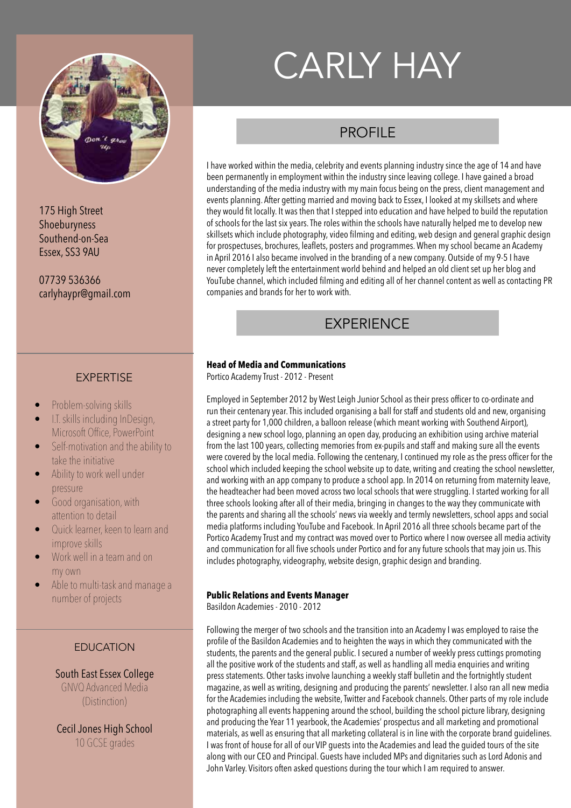

175 High Street Shoeburyness Southend-on-Sea Essex, SS3 9AU

07739 536366 carlyhaypr@gmail.com

## EXPERTISE

- Problem-solving skills
- I.T. skills including InDesign, Microsoft Office, PowerPoint
- Self-motivation and the ability to take the initiative
- Ability to work well under pressure
- Good organisation, with attention to detail
- Quick learner, keen to learn and improve skills
- Work well in a team and on my own
- Able to multi-task and manage a number of projects

### EDUCATION

South East Essex College GNVQ Advanced Media (Distinction)

Cecil Jones High School 10 GCSE grades

# CARLY HAY

## PROFIL<sub>F</sub>

I have worked within the media, celebrity and events planning industry since the age of 14 and have been permanently in employment within the industry since leaving college. I have gained a broad understanding of the media industry with my main focus being on the press, client management and events planning. After getting married and moving back to Essex, I looked at my skillsets and where they would fit locally. It was then that I stepped into education and have helped to build the reputation of schools for the last six years. The roles within the schools have naturally helped me to develop new skillsets which include photography, video filming and editing, web design and general graphic design for prospectuses, brochures, leaflets, posters and programmes. When my school became an Academy in April 2016 I also became involved in the branding of a new company. Outside of my 9-5 I have never completely left the entertainment world behind and helped an old client set up her blog and YouTube channel, which included filming and editing all of her channel content as well as contacting PR companies and brands for her to work with.

# **EXPERIENCE**

#### **Head of Media and Communications**

Portico Academy Trust - 2012 - Present

Employed in September 2012 by West Leigh Junior School as their press officer to co-ordinate and run their centenary year. This included organising a ball for staff and students old and new, organising a street party for 1,000 children, a balloon release (which meant working with Southend Airport), designing a new school logo, planning an open day, producing an exhibition using archive material from the last 100 years, collecting memories from ex-pupils and staff and making sure all the events were covered by the local media. Following the centenary, I continued my role as the press officer for the school which included keeping the school website up to date, writing and creating the school newsletter, and working with an app company to produce a school app. In 2014 on returning from maternity leave, the headteacher had been moved across two local schools that were struggling. I started working for all three schools looking after all of their media, bringing in changes to the way they communicate with the parents and sharing all the schools' news via weekly and termly newsletters, school apps and social media platforms including YouTube and Facebook. In April 2016 all three schools became part of the Portico Academy Trust and my contract was moved over to Portico where I now oversee all media activity and communication for all five schools under Portico and for any future schools that may join us. This includes photography, videography, website design, graphic design and branding.

#### **Public Relations and Events Manager**

Basildon Academies - 2010 - 2012

Following the merger of two schools and the transition into an Academy I was employed to raise the profile of the Basildon Academies and to heighten the ways in which they communicated with the students, the parents and the general public. I secured a number of weekly press cuttings promoting all the positive work of the students and staff, as well as handling all media enquiries and writing press statements. Other tasks involve launching a weekly staff bulletin and the fortnightly student magazine, as well as writing, designing and producing the parents' newsletter. I also ran all new media for the Academies including the website, Twitter and Facebook channels. Other parts of my role include photographing all events happening around the school, building the school picture library, designing and producing the Year 11 yearbook, the Academies' prospectus and all marketing and promotional materials, as well as ensuring that all marketing collateral is in line with the corporate brand guidelines. I was front of house for all of our VIP guests into the Academies and lead the guided tours of the site along with our CEO and Principal. Guests have included MPs and dignitaries such as Lord Adonis and John Varley. Visitors often asked questions during the tour which I am required to answer.